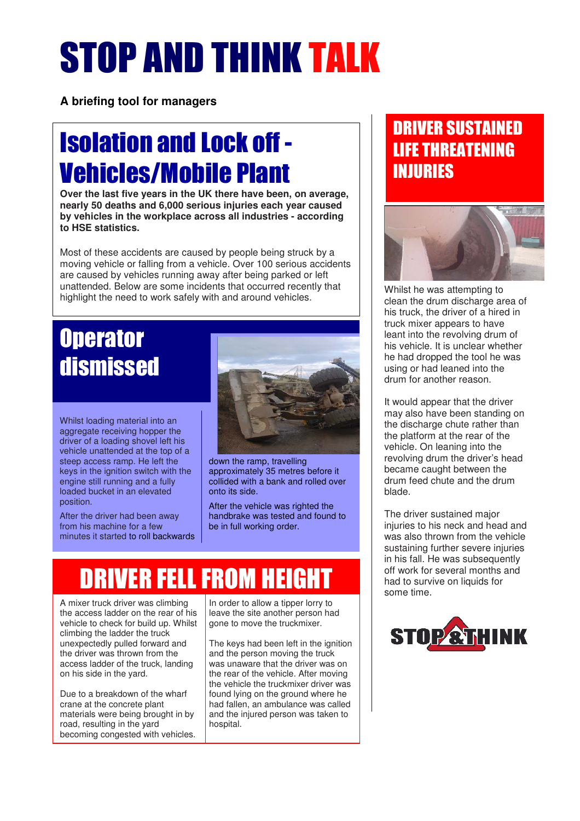# STOP AND THINK TALK

**A briefing tool for managers**

# Isolation and Lock off - Vehicles/Mobile Plant

**Over the last five years in the UK there have been, on average, nearly 50 deaths and 6,000 serious injuries each year caused by vehicles in the workplace across all industries - according to HSE statistics.** 

Most of these accidents are caused by people being struck by a moving vehicle or falling from a vehicle. Over 100 serious accidents are caused by vehicles running away after being parked or left unattended. Below are some incidents that occurred recently that highlight the need to work safely with and around vehicles.

# **Operator** dismissed

Whilst loading material into an aggregate receiving hopper the driver of a loading shovel left his vehicle unattended at the top of a steep access ramp. He left the keys in the ignition switch with the engine still running and a fully loaded bucket in an elevated position.

After the driver had been away from his machine for a few minutes it started to roll backwards



down the ramp, travelling approximately 35 metres before it collided with a bank and rolled over onto its side.

After the vehicle was righted the handbrake was tested and found to be in full working order.

# DRIVER FELL FROM HEIGHT

A mixer truck driver was climbing the access ladder on the rear of his vehicle to check for build up. Whilst climbing the ladder the truck unexpectedly pulled forward and the driver was thrown from the access ladder of the truck, landing on his side in the yard.

Due to a breakdown of the wharf crane at the concrete plant materials were being brought in by road, resulting in the yard becoming congested with vehicles.

In order to allow a tipper lorry to leave the site another person had gone to move the truckmixer.

The keys had been left in the ignition and the person moving the truck was unaware that the driver was on the rear of the vehicle. After moving the vehicle the truckmixer driver was found lying on the ground where he had fallen, an ambulance was called and the injured person was taken to hospital.

# DRIVER SUSTAINED LIFE THREATENING INJURIES



Whilst he was attempting to clean the drum discharge area of his truck, the driver of a hired in truck mixer appears to have leant into the revolving drum of his vehicle. It is unclear whether he had dropped the tool he was using or had leaned into the drum for another reason.

It would appear that the driver may also have been standing on the discharge chute rather than the platform at the rear of the vehicle. On leaning into the revolving drum the driver's head became caught between the drum feed chute and the drum blade.

The driver sustained major injuries to his neck and head and was also thrown from the vehicle sustaining further severe injuries in his fall. He was subsequently off work for several months and had to survive on liquids for some time.

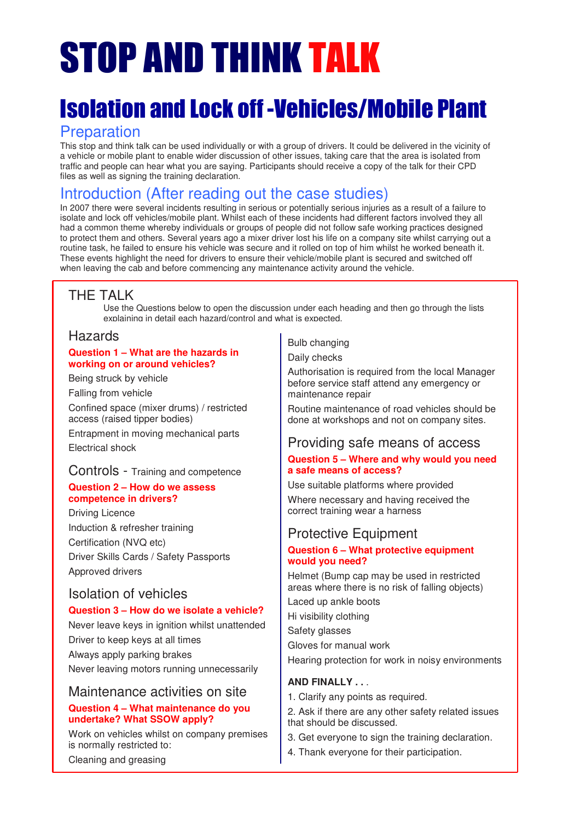# STOP AND THINK TALK

# Isolation and Lock off -Vehicles/Mobile Plant

## Preparation

This stop and think talk can be used individually or with a group of drivers. It could be delivered in the vicinity of a vehicle or mobile plant to enable wider discussion of other issues, taking care that the area is isolated from traffic and people can hear what you are saying. Participants should receive a copy of the talk for their CPD files as well as signing the training declaration.

# Introduction (After reading out the case studies)

In 2007 there were several incidents resulting in serious or potentially serious injuries as a result of a failure to isolate and lock off vehicles/mobile plant. Whilst each of these incidents had different factors involved they all had a common theme whereby individuals or groups of people did not follow safe working practices designed to protect them and others. Several years ago a mixer driver lost his life on a company site whilst carrying out a routine task, he failed to ensure his vehicle was secure and it rolled on top of him whilst he worked beneath it. These events highlight the need for drivers to ensure their vehicle/mobile plant is secured and switched off when leaving the cab and before commencing any maintenance activity around the vehicle.

## THE TALK

Use the Questions below to open the discussion under each heading and then go through the lists explaining in detail each hazard/control and what is expected.

### Hazards

#### **Question 1 – What are the hazards in working on or around vehicles?**

Being struck by vehicle

Falling from vehicle

Confined space (mixer drums) / restricted access (raised tipper bodies)

Entrapment in moving mechanical parts Electrical shock

## Controls - Training and competence

#### **Question 2 – How do we assess competence in drivers?**

Driving Licence Induction & refresher training Certification (NVQ etc) Driver Skills Cards / Safety Passports Approved drivers

### Isolation of vehicles

#### **Question 3 – How do we isolate a vehicle?**

Never leave keys in ignition whilst unattended Driver to keep keys at all times Always apply parking brakes Never leaving motors running unnecessarily

#### Maintenance activities on site

#### **Question 4 – What maintenance do you undertake? What SSOW apply?**

Work on vehicles whilst on company premises is normally restricted to:

Bulb changing

Daily checks

Authorisation is required from the local Manager before service staff attend any emergency or maintenance repair

Routine maintenance of road vehicles should be done at workshops and not on company sites.

### Providing safe means of access

#### **Question 5 – Where and why would you need a safe means of access?**

Use suitable platforms where provided

Where necessary and having received the correct training wear a harness

### Protective Equipment

#### **Question 6 – What protective equipment would you need?**

Helmet (Bump cap may be used in restricted areas where there is no risk of falling objects)

Laced up ankle boots

Hi visibility clothing

Safety glasses

Gloves for manual work

Hearing protection for work in noisy environments

#### **AND FINALLY . .** .

- 1. Clarify any points as required.
- 2. Ask if there are any other safety related issues that should be discussed.
- 3. Get everyone to sign the training declaration.
- 4. Thank everyone for their participation.

Cleaning and greasing